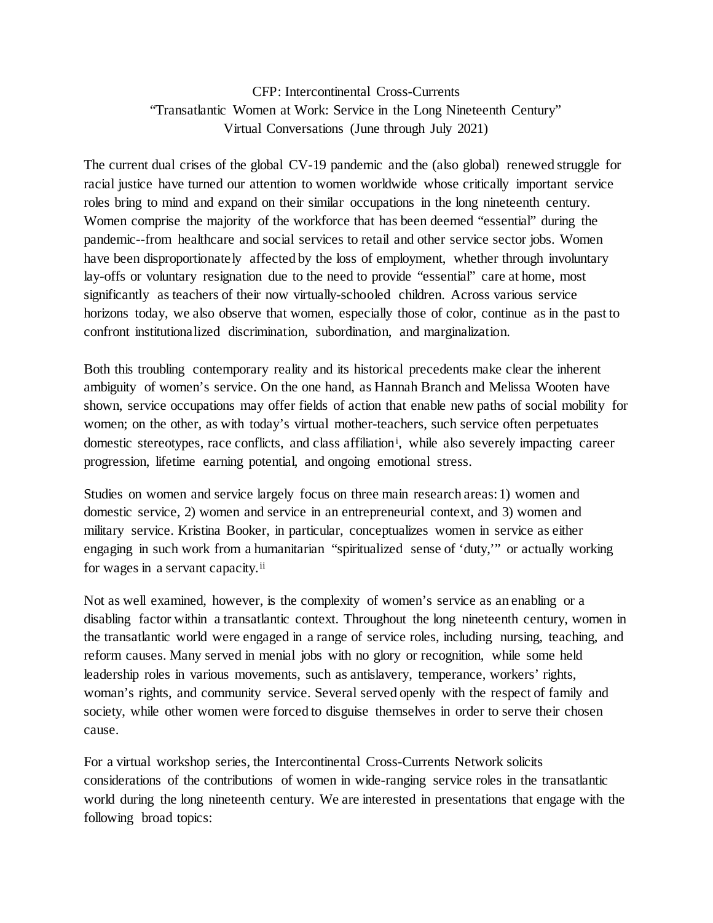## CFP: Intercontinental Cross-Currents "Transatlantic Women at Work: Service in the Long Nineteenth Century" Virtual Conversations (June through July 2021)

The current dual crises of the global CV-19 pandemic and the (also global) renewed struggle for racial justice have turned our attention to women worldwide whose critically important service roles bring to mind and expand on their similar occupations in the long nineteenth century. Women comprise the majority of the workforce that has been deemed "essential" during the pandemic--from healthcare and social services to retail and other service sector jobs. Women have been disproportionately affected by the loss of employment, whether through involuntary lay-offs or voluntary resignation due to the need to provide "essential" care at home, most significantly as teachers of their now virtually-schooled children. Across various service horizons today, we also observe that women, especially those of color, continue as in the past to confront institutionalized discrimination, subordination, and marginalization.

Both this troubling contemporary reality and its historical precedents make clear the inherent ambiguity of women's service. On the one hand, as Hannah Branch and Melissa Wooten have shown, service occupations may offer fields of action that enable new paths of social mobility for women; on the other, as with today's virtual mother-teachers, such service often perpetuates domest[i](#page-2-0)c stereotypes, race conflicts, and class affiliation<sup>i</sup>, while also severely impacting career progression, lifetime earning potential, and ongoing emotional stress.

Studies on women and service largely focus on three main research areas: 1) women and domestic service, 2) women and service in an entrepreneurial context, and 3) women and military service. Kristina Booker, in particular, conceptualizes women in service as either engaging in such work from a humanitarian "spiritualized sense of 'duty,'" or actually working for wages in a servant capacity.<sup>[ii](#page-2-1)</sup>

Not as well examined, however, is the complexity of women's service as an enabling or a disabling factor within a transatlantic context. Throughout the long nineteenth century, women in the transatlantic world were engaged in a range of service roles, including nursing, teaching, and reform causes. Many served in menial jobs with no glory or recognition, while some held leadership roles in various movements, such as antislavery, temperance, workers' rights, woman's rights, and community service. Several served openly with the respect of family and society, while other women were forced to disguise themselves in order to serve their chosen cause.

For a virtual workshop series, the Intercontinental Cross-Currents Network solicits considerations of the contributions of women in wide-ranging service roles in the transatlantic world during the long nineteenth century. We are interested in presentations that engage with the following broad topics: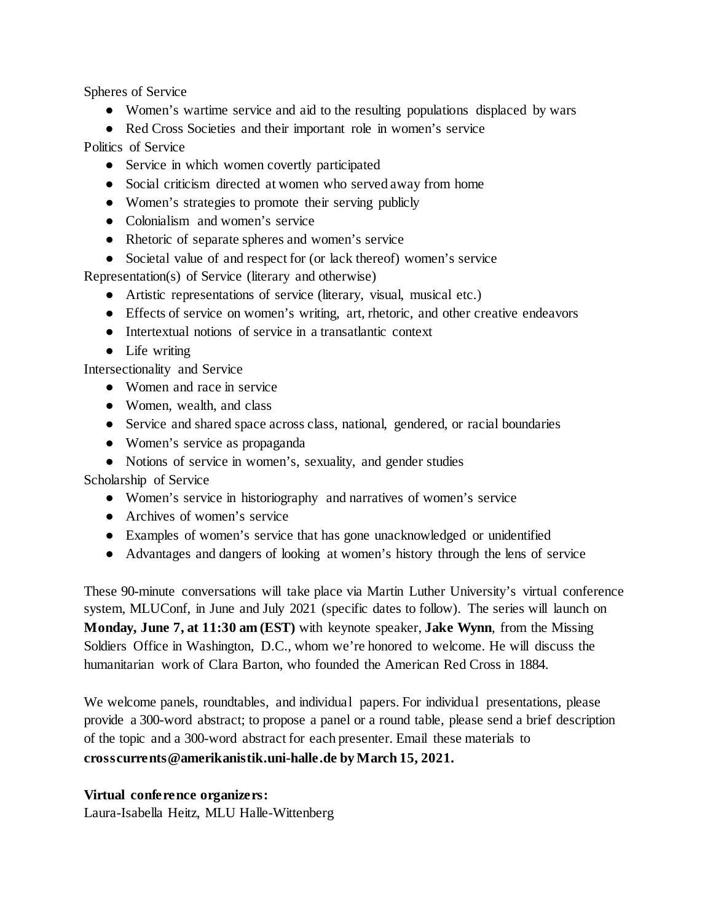Spheres of Service

- Women's wartime service and aid to the resulting populations displaced by wars
- Red Cross Societies and their important role in women's service

Politics of Service

- Service in which women covertly participated
- Social criticism directed at women who served away from home
- Women's strategies to promote their serving publicly
- Colonialism and women's service
- Rhetoric of separate spheres and women's service
- Societal value of and respect for (or lack thereof) women's service

Representation(s) of Service (literary and otherwise)

- Artistic representations of service (literary, visual, musical etc.)
- Effects of service on women's writing, art, rhetoric, and other creative endeavors
- Intertextual notions of service in a transatlantic context
- Life writing

Intersectionality and Service

- Women and race in service
- Women, wealth, and class
- Service and shared space across class, national, gendered, or racial boundaries
- Women's service as propaganda
- Notions of service in women's, sexuality, and gender studies

Scholarship of Service

- Women's service in historiography and narratives of women's service
- Archives of women's service
- Examples of women's service that has gone unacknowledged or unidentified
- Advantages and dangers of looking at women's history through the lens of service

These 90-minute conversations will take place via Martin Luther University's virtual conference system, MLUConf, in June and July 2021 (specific dates to follow). The series will launch on **Monday, June 7, at 11:30 am (EST)** with keynote speaker, **Jake Wynn**, from the Missing Soldiers Office in Washington, D.C., whom we're honored to welcome. He will discuss the humanitarian work of Clara Barton, who founded the American Red Cross in 1884.

We welcome panels, roundtables, and individual papers. For individual presentations, please provide a 300-word abstract; to propose a panel or a round table, please send a brief description of the topic and a 300-word abstract for each presenter. Email these materials to **crosscurrents@amerikanistik.uni-halle.de by March 15, 2021.** 

## **Virtual conference organizers:**

Laura-Isabella Heitz, MLU Halle-Wittenberg